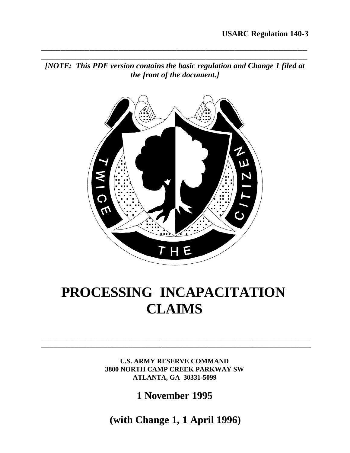*[NOTE: This PDF version contains the basic regulation and Change 1 filed at the front of the document.]*

**\_\_\_\_\_\_\_\_\_\_\_\_\_\_\_\_\_\_\_\_\_\_\_\_\_\_\_\_\_\_\_\_\_\_\_\_\_\_\_\_\_\_\_\_\_\_\_\_\_\_\_\_\_\_\_ \_\_\_\_\_\_\_\_\_\_\_\_\_\_\_\_\_\_\_\_\_\_\_\_\_\_\_\_\_\_\_\_\_\_\_\_\_\_\_\_\_\_\_\_\_\_\_\_\_\_\_\_\_\_\_**



# **PROCESSING INCAPACITATION CLAIMS**

**U.S. ARMY RESERVE COMMAND 3800 NORTH CAMP CREEK PARKWAY SW ATLANTA, GA 30331-5099**

\_\_\_\_\_\_\_\_\_\_\_\_\_\_\_\_\_\_\_\_\_\_\_\_\_\_\_\_\_\_\_\_\_\_\_\_\_\_\_\_\_\_\_\_\_\_\_\_\_\_\_\_\_\_\_\_\_\_\_\_\_\_\_\_\_ \_\_\_\_\_\_\_\_\_\_\_\_\_\_\_\_\_\_\_\_\_\_\_\_\_\_\_\_\_\_\_\_\_\_\_\_\_\_\_\_\_\_\_\_\_\_\_\_\_\_\_\_\_\_\_\_\_\_\_\_\_\_\_\_\_

**1 November 1995**

**(with Change 1, 1 April 1996)**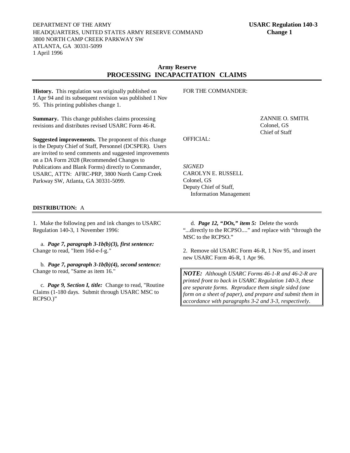DEPARTMENT OF THE ARMY **USARC Regulation 140-3** HEADQUARTERS, UNITED STATES ARMY RESERVE COMMAND **Change 1** 3800 NORTH CAMP CREEK PARKWAY SW ATLANTA, GA 30331-5099 1 April 1996

#### **Army Reserve PROCESSING INCAPACITATION CLAIMS**

**History.** This regulation was originally published on 1 Apr 94 and its subsequent revision was published 1 Nov 95. This printing publishes change 1.

**Summary.** This change publishes claims processing revisions and distributes revised USARC Form 46-R.

**Suggested improvements.** The proponent of this change is the Deputy Chief of Staff, Personnel (DCSPER). Users are invited to send comments and suggested improvements on a DA Form 2028 (Recommended Changes to Publications and Blank Forms) directly to Commander, USARC, ATTN: AFRC**-**PRP, 3800 North Camp Creek Parkway SW, Atlanta, GA 30331**-**5099.

FOR THE COMMANDER:

ZANNIE O. SMITH. Colonel, GS Chief of Staff

OFFICIAL:

*SIGNED* CAROLYN E. RUSSELL Colonel, GS Deputy Chief of Staff, Information Management

#### **DISTRIBUTION:** A

1. Make the following pen and ink changes to USARC Regulation 140-3, 1 November 1996:

a. *Page 7, paragraph 3-1b(b)(3), first sentence:* Change to read, "Item 16d-e-f-g.*"*

b. *Page 7, paragraph 3-1b(b)(4), second sentence:* Change to read, "Same as item 16*.*"

c. *Page 9, Section I, title:* Change to read, "Routine Claims (1-180 days. Submit through USARC MSC to RCPSO.)"

d. *Page 12, "DOs," item 5:* Delete the words "...directly to the RCPSO...." and replace with "through the MSC to the RCPSO."

2. Remove old USARC Form 46-R, 1 Nov 95, and insert new USARC Form 46-R, 1 Apr 96.

*NOTE: Although USARC Forms 46-1-R and 46-2-R are printed front to back in USARC Regulation 140-3, these are separate forms. Reproduce them single sided (one form on a sheet of paper), and prepare and submit them in accordance with paragraphs 3-2 and 3-3, respectively.*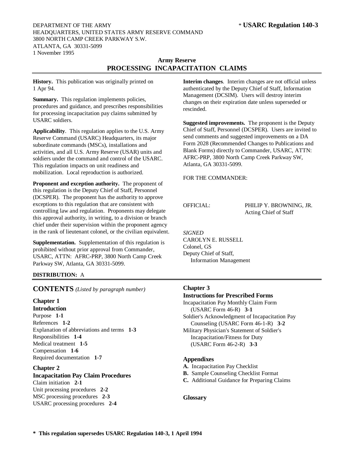#### DEPARTMENT OF THE ARMY **\*USARC Regulation 140-3** HEADQUARTERS, UNITED STATES ARMY RESERVE COMMAND 3800 NORTH CAMP CREEK PARKWAY S.W. ATLANTA, GA 30331**-**5099 1 November 1995

# **Army Reserve PROCESSING INCAPACITATION CLAIMS**

**History.** This publication was originally printed on 1 Apr 94.

**Summary.** This regulation implements policies, procedures and guidance, and prescribes responsibilities for processing incapacitation pay claims submitted by USARC soldiers.

**Applicability**. This regulation applies to the U.S. Army Reserve Command (USARC) Headquarters, its major subordinate commands (MSCs), installations and activities, and all U.S. Army Reserve (USAR) units and soldiers under the command and control of the USARC. This regulation impacts on unit readiness and mobilization. Local reproduction is authorized.

**Proponent and exception authority.** The proponent of this regulation is the Deputy Chief of Staff, Personnel (DCSPER). The proponent has the authority to approve exceptions to this regulation that are consistent with controlling law and regulation. Proponents may delegate this approval authority, in writing, to a division or branch chief under their supervision within the proponent agency in the rank of lieutenant colonel, or the civilian equivalent.

**Supplementation.** Supplementation of this regulation is prohibited without prior approval from Commander, USARC, ATTN: AFRC**-**PRP, 3800 North Camp Creek Parkway SW, Atlanta, GA 30331**-**5099.

# **DISTRIBUTION:** A

**CONTENTS** *(Listed by paragraph number)*

# **Chapter 1**

**Introduction** Purpose **1-1** References **1-2** Explanation of abbreviations and terms **1-3** Responsibilities **1-4** Medical treatment **1-5** Compensation **1-6** Required documentation **1-7**

# **Chapter 2**

# **Incapacitation Pay Claim Procedures**

Claim initiation **2-1** Unit processing procedures **2-2** MSC processing procedures **2-3** USARC processing procedures **2-4** **Interim changes**. Interim changes are not official unless authenticated by the Deputy Chief of Staff, Information Management (DCSIM). Users will destroy interim changes on their expiration date unless superseded or rescinded.

**Suggested improvements.** The proponent is the Deputy Chief of Staff, Personnel (DCSPER). Users are invited to send comments and suggested improvements on a DA Form 2028 (Recommended Changes to Publications and Blank Forms) directly to Commander, USARC, ATTN: AFRC**-**PRP, 3800 North Camp Creek Parkway SW, Atlanta, GA 30331**-**5099.

FOR THE COMMANDER:

OFFICIAL: PHILIP Y. BROWNING, JR. Acting Chief of Staff

#### *SIGNED*

CAROLYN E. RUSSELL Colonel, GS Deputy Chief of Staff, Information Management

#### **Chapter 3**

#### **Instructions for Prescribed Forms**

Incapacitation Pay Monthly Claim Form (USARC Form 46**-**R) **3-1** Soldier's Acknowledgment of Incapacitation Pay Counseling (USARC Form 46**-**1**-**R) **3-2** Military Physician's Statement of Soldier's Incapacitation/Fitness for Duty (USARC Form 46**-**2**-**R) **3-3**

#### **Appendixes**

- **A.** Incapacitation Pay Checklist
- **B.** Sample Counseling Checklist Format
- **C.** Additional Guidance for Preparing Claims

#### **Glossary**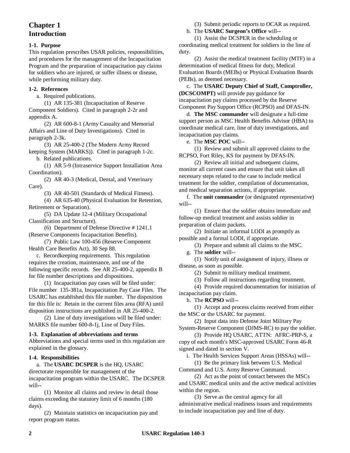# **Chapter 1 Introduction**

#### **1-1. Purpose**

This regulation prescribes USAR policies, responsibilities, and procedures for the management of the Incapacitation Program and the preparation of incapacitation pay claims for soldiers who are injured, or suffer illness or disease, while performing military duty.

#### **1-2. References**

a. Required publications.

(1) AR 135**-**381 (Incapacitation of Reserve Component Soldiers). Cited in paragraph 2**-**2r and appendix A.

(2) AR 600**-**8**-**1 (Army Casualty and Memorial Affairs and Line of Duty Investigations). Cited in paragraph 2**-**3k.

(3) AR 25**-**400**-**2 (The Modern Army Record keeping System (MARKS)). Cited in paragraph 1**-**2c. b. Related publications.

(1) AR 5**-**9 (Intraservice Support Installation Area Coordination).

(2) AR 40**-**3 (Medical, Dental, and Veterinary Care).

(3) AR 40**-**501 (Standards of Medical Fitness).

(4) AR 635**-**40 (Physical Evaluation for Retention, Retirement or Separation).

(5) DA Update 12**-**4 (Military Occupational Classification and Structure).

(6) Department of Defense Directive # 1241.1 (Reserve Components Incapacitation Benefits).

(7) Public Law 100**-**456 (Reserve Component Health Care Benefits Act), 30 Sep 88.

c. Recordkeeping requirements. This regulation requires the creation, maintenance, and use of the following specific records. See AR 25**-**400**-**2, appendix B for file number descriptions and dispositions.

(1) Incapacitation pay cases will be filed under: File number 135**-**381a, Incapacitation Pay Case Files. The USARC has established this file number. The disposition for this file is: Retain in the current files area (RFA) until disposition instructions are published in AR 25**-**400**-**2.

(2) Line of duty investigations will be filed under: MARKS file number 600**-**8**-**1j, Line of Duty Files.

#### **1-3. Explanation of abbreviations and terms**

Abbreviations and special terms used in this regulation are explained in the glossary.

#### **1-4. Responsibilities**

a. The **USARC DCSPER** is the HQ, USARC directorate responsible for management of the incapacitation program within the USARC. The DCSPER will**--**

(1) Monitor all claims and review in detail those claims exceeding the statutory limit of 6 months (180 days).

(2) Maintain statistics on incapacitation pay and report program status.

(3) Submit periodic reports to OCAR as required.

b. The **USARC Surgeon's Office** will**--**

(1) Assist the DCSPER in the scheduling or coordinating medical treatment for soldiers in the line of duty.

(2) Assist the medical treatment facility (MTF) in a determination of medical fitness for duty, Medical Evaluation Boards (MEBs) or Physical Evaluation Boards (PEBs), as deemed necessary.

c. The **USARC Deputy Chief of Staff, Comptroller, (DCSCOMPT)** will provide pay guidance for incapacitation pay claims processed by the Reserve Component Pay Support Office (RCPSO) and DFAS**-**IN.

d. **The MSC commander** will designate a full**-**time support person as MSC Health Benefits Advisor (HBA) to coordinate medical care, line of duty investigations, and incapacitation pay claims.

e. The **MSC POC** will**--**

(1) Review and submit all approved claims to the RCPSO, Fort Riley, KS for payment by DFAS**-**IN.

(2) Review all initial and subsequent claims, monitor all current cases and ensure that unit takes all necessary steps related to the case to include medical treatment for the soldier, compilation of documentation, and medical separation actions, if appropriate.

f. The **unit commander** (or designated representative) will**--**

(1) Ensure that the soldier obtains immediate and follow**-**up medical treatment and assists soldier in preparation of claim packets.

(2) Initiate an informal LODI as promptly as possible and a formal LODI, if appropriate.

(3) Prepare and submit all claims to the MSC.

g. The **soldier** will**--**

(1) Notify unit of assignment of injury, illness or disease, as soon as possible.

(2) Submit to military medical treatment.

(3) Follow all instructions regarding treatment.

(4) Provide required documentation for initiation of incapacitation pay claim.

h. The **RCPSO** will**--**

(1) Accept and process claims received from either the MSC or the USARC for payment.

(2) Input data into Defense Joint Military Pay System**-**Reserve Component (DJMS**-**RC) to pay the soldier.

(3) Provide HQ USARC, ATTN: AFRC**-**PRP**-**S, a copy of each month's MSC**-**approved USARC Form 46**-**R signed and dated in section V.

i. The Health Services Support Areas (HSSAs) will**--**

(1) Be the primary link between U.S. Medical Command and U.S. Army Reserve Command.

(2) Act as the point of contact between the MSCs and USARC medical units and the active medical activities within the region.

(3) Serve as the central agency for all administrative medical readiness issues and requirements to include incapacitation pay and line of duty.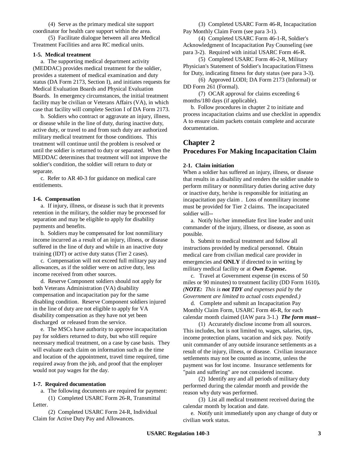(4) Serve as the primary medical site support coordinator for health care support within the area.

(5) Facilitate dialogue between all area Medical Treatment Facilities and area RC medical units.

#### **1-5. Medical treatment**

a. The supporting medical department activity (MEDDAC) provides medical treatment for the soldier, provides a statement of medical examination and duty status (DA Form 2173, Section I), and initiates requests for Medical Evaluation Boards and Physical Evaluation Boards. In emergency circumstances, the initial treatment facility may be civilian or Veterans Affairs (VA), in which case that facility will complete Section I of DA Form 2173.

b. Soldiers who contract or aggravate an injury, illness, or disease while in the line of duty, during inactive duty, active duty, or travel to and from such duty are authorized military medical treatment for those conditions. This treatment will continue until the problem is resolved or until the soldier is returned to duty or separated. When the MEDDAC determines that treatment will not improve the soldier's condition, the soldier will return to duty or separate.

c. Refer to AR 40**-**3 for guidance on medical care entitlements.

#### **1-6. Compensation**

a. If injury, illness, or disease is such that it prevents retention in the military, the soldier may be processed for separation and may be eligible to apply for disability payments and benefits.

b. Soldiers may be compensated for lost nonmilitary income incurred as a result of an injury, illness, or disease suffered in the line of duty and while in an inactive duty training (IDT) or active duty status (Tier 2 cases).

c. Compensation will not exceed full military pay and allowances, as if the soldier were on active duty, less income received from other sources.

d. Reserve Component soldiers should not apply for both Veterans Administration (VA) disability compensation and incapacitation pay for the same disabling condition. Reserve Component soldiers injured in the line of duty are not eligible to apply for VA disability compensation as they have not yet been discharged or released from the service.

e. The MSCs have authority to approve incapacitation pay for soldiers returned to duty, but who still require necessary medical treatment, on a case by case basis. They will evaluate each claim on information such as the time and location of the appointment, travel time required, time required away from the job, and proof that the employer would not pay wages for the day.

#### **1-7. Required documentation**

a. The following documents are required for payment: (1) Completed USARC Form 26**-**R, Transmittal

Letter.

(2) Completed USARC Form 24**-**R, Individual Claim for Active Duty Pay and Allowances.

(3) Completed USARC Form 46**-**R, Incapacitation Pay Monthly Claim Form (see para 3**-**1).

(4) Completed USARC Form 46**-**1**-**R, Soldier's Acknowledgment of Incapacitation Pay Counseling (see para 3**-**2). Required with initial USARC Form 46**-**R.

(5) Completed USARC Form 46**-**2**-**R, Military Physician's Statement of Soldier's Incapacitation/Fitness for Duty, indicating fitness for duty status (see para 3**-**3).

(6) Approved LODI; DA Form 2173 (Informal) or DD Form 261 (Formal).

(7) OCAR approval for claims exceeding 6 months/180 days (if applicable).

b. Follow procedures in chapter 2 to initiate and process incapacitation claims and use checklist in appendix A to ensure claim packets contain complete and accurate documentation.

# **Chapter 2 Procedures For Making Incapacitation Claim**

#### **2-1. Claim initiation**

When a soldier has suffered an injury, illness, or disease that results in a disability and renders the soldier unable to perform military or nonmilitary duties during active duty or inactive duty, he/she is responsible for initiating an incapacitation pay claim . Loss of nonmilitary income must be provided for Tier 2 claims. The incapacitated soldier will**--**

a. Notify his/her immediate first line leader and unit commander of the injury, illness, or disease, as soon as possible.

b. Submit to medical treatment and follow all instructions provided by medical personnel. Obtain medical care from civilian medical care provider in emergencies and **ONLY** if directed to in writing by military medical facility or at *Own Expense***.**

c. Travel at Government expense (in excess of 50 miles or 90 minutes) to treatment facility (DD Form 1610)*. (NOTE: This is not TDY and expenses paid by the Government are limited to actual costs expended.)*

d. Complete and submit an Incapacitation Pay Monthly Claim Form, USARC Form 46**-**R, for each calendar month claimed (IAW para 3**-**1.) *The form must--*

(1) Accurately disclose income from all sources. This includes, but is not limited to, wages, salaries, tips, income protection plans, vacation and sick pay. Notify unit commander of any outside insurance settlements as a result of the injury, illness, or disease. Civilian insurance settlements may not be counted as income, unless the payment was for lost income. Insurance settlements for "pain and suffering" are not considered income.

(2) Identify any and all periods of military duty performed during the calendar month and provide the reason why duty was performed.

(3) List all medical treatment received during the calendar month by location and date.

e. Notify unit immediately upon any change of duty or civilian work status.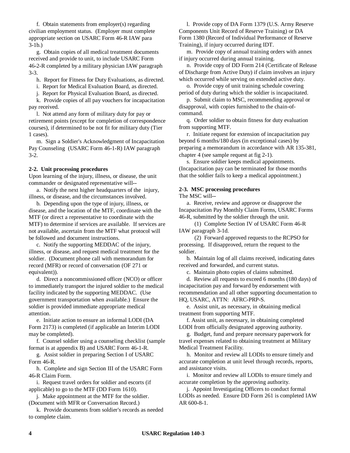f. Obtain statements from employer(s) regarding civilian employment status. (Employer must complete appropriate section on USARC Form 46**-**R IAW para 3**-**1b.)

g. Obtain copies of all medical treatment documents received and provide to unit, to include USARC Form 46**-**2**-**R completed by a military physician IAW paragraph 3**-**3.

h. Report for Fitness for Duty Evaluations, as directed.

i. Report for Medical Evaluation Board, as directed.

j. Report for Physical Evaluation Board, as directed.

k. Provide copies of all pay vouchers for incapacitation pay received.

l. Not attend any form of military duty for pay or retirement points (except for completion of correspondence courses), if determined to be not fit for military duty (Tier 1 cases).

m. Sign a Soldier's Acknowledgment of Incapacitation Pay Counseling (USARC Form 46**-**1**-**R) IAW paragraph 3**-**2.

#### **2-2. Unit processing procedures**

Upon learning of the injury, illness, or disease, the unit commander or designated representative will**--**

a. Notify the next higher headquarters of the injury, illness, or disease, and the circumstances involved.

b. Depending upon the type of injury, illness, or disease, and the location of the MTF, coordinate with the MTF (or direct a representative to coordinate with the MTF) to determine if services are available. If services are not available, ascertain from the MTF what protocol will be followed and document instructions.

c. Notify the supporting MEDDAC of the injury, illness, or disease, and request medical treatment for the soldier. (Document phone call with memorandum for record (MFR) or record of conversation (OF 271 or equivalent)).

d. Direct a noncommissioned officer (NCO) or officer to immediately transport the injured soldier to the medical facility indicated by the supporting MEDDAC. (Use government transportation when available.) Ensure the soldier is provided immediate appropriate medical attention.

e. Initiate action to ensure an informal LODI (DA Form 2173) is completed (if applicable an Interim LODI may be completed).

f. Counsel soldier using a counseling checklist (sample format is at appendix B) and USARC Form 46**-**1**-**R.

g. Assist soldier in preparing Section I of USARC Form 46**-**R.

h. Complete and sign Section III of the USARC Form 46**-**R Claim Form.

i. Request travel orders for soldier and escorts (if applicable) to go to the MTF (DD Form 1610).

j. Make appointment at the MTF for the soldier. (Document with MFR or Conversation Record.)

k. Provide documents from soldier's records as needed to complete claim.

l. Provide copy of DA Form 1379 (U.S. Army Reserve Components Unit Record of Reserve Training) or DA Form 1380 (Record of Individual Performance of Reserve Training), if injury occurred during IDT.

m. Provide copy of annual training orders with annex if injury occurred during annual training.

n. Provide copy of DD Form 214 (Certificate of Release of Discharge from Active Duty) if claim involves an injury which occurred while serving on extended active duty.

o. Provide copy of unit training schedule covering period of duty during which the soldier is incapacitated.

p. Submit claim to MSC, recommending approval or disapproval, with copies furnished to the chain-ofcommand.

q. Order soldier to obtain fitness for duty evaluation from supporting MTF.

r. Initiate request for extension of incapacitation pay beyond 6 months/180 days (in exceptional cases) by preparing a memorandum in accordance with AR 135**-**381, chapter 4 (see sample request at fig 2**-**1).

s. Ensure soldier keeps medical appointments. (Incapacitation pay can be terminated for those months that the soldier fails to keep a medical appointment.)

# **2-3. MSC processing procedures**

The MSC will**--**

a. Receive, review and approve or disapprove the Incapacitation Pay Monthly Claim Forms, USARC Forms 46**-**R, submitted by the soldier through the unit.

(1) Complete Section IV of USARC Form 46**-**R IAW paragraph 3**-**1d.

(2) Forward approved requests to the RCPSO for processing. If disapproved, return the request to the soldier.

b. Maintain log of all claims received, indicating dates received and forwarded, and current status.

c. Maintain photo copies of claims submitted.

d. Review all requests to exceed 6 months (180 days) of incapacitation pay and forward by endorsement with recommendation and all other supporting documentation to HQ, USARC, ATTN: AFRC**-**PRP**-**S.

e. Assist unit, as necessary, in obtaining medical treatment from supporting MTF.

f. Assist unit, as necessary, in obtaining completed LODI from officially designated approving authority.

g. Budget, fund and prepare necessary paperwork for travel expenses related to obtaining treatment at Military Medical Treatment Facility.

h. Monitor and review all LODIs to ensure timely and accurate completion at unit level through records, reports, and assistance visits.

i. Monitor and review all LODIs to ensure timely and accurate completion by the approving authority.

j. Appoint Investigating Officers to conduct formal LODIs as needed. Ensure DD Form 261 is completed IAW AR 600**-**8**-**1.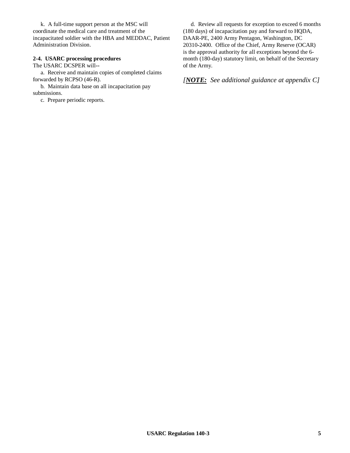k. A full**-**time support person at the MSC will coordinate the medical care and treatment of the incapacitated soldier with the HBA and MEDDAC, Patient Administration Division.

# **2-4. USARC processing procedures**

The USARC DCSPER will**--**

a. Receive and maintain copies of completed claims forwarded by RCPSO (46**-**R).

b. Maintain data base on all incapacitation pay submissions.

c. Prepare periodic reports.

d. Review all requests for exception to exceed 6 months (180 days) of incapacitation pay and forward to HQDA, DAAR**-**PE, 2400 Army Pentagon, Washington, DC 20310**-**2400. Office of the Chief, Army Reserve (OCAR) is the approval authority for all exceptions beyond the 6 month (180-day) statutory limit, on behalf of the Secretary of the Army.

*[NOTE: See additional guidance at appendix C]*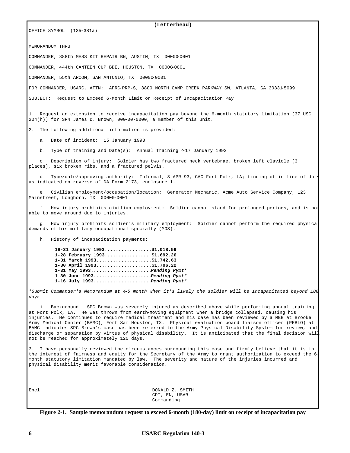**(Letterhead)** OFFICE SYMBOL (135**-**381a) MEMORANDIM THRIL COMMANDER, 888th MESS KIT REPAIR BN, AUSTIN, TX 00000**-**0001 COMMANDER, 444th CANTEEN CUP BDE, HOUSTON, TX 00000**-**0001 COMMANDER, 55th ARCOM, SAN ANTONIO, TX 00000**-**0001 FOR COMMANDER, USARC, ATTN: AFRC**-**PRP**-**S, 3800 NORTH CAMP CREEK PARKWAY SW, ATLANTA, GA 30331**-**5099 SUBJECT: Request to Exceed 6-Month Limit on Receipt of Incapacitation Pay 1. Request an extension to receive incapacitation pay beyond the 6-month statutory limitation (37 USC 204(h)) for SP4 James D. Brown, 000**-**00**-**0000, a member of this unit. 2. The following additional information is provided: a. Date of incident: 15 January 1993 b. Type of training and Date(s): Annual Training 4**-**17 January 1993 c. Description of injury: Soldier has two fractured neck vertebrae, broken left clavicle (3 places), six broken ribs, and a fractured pelvis. d. Type/date/approving authority: Informal, 8 APR 93, CAC Fort Polk, LA; finding of in line of duty as indicated on reverse of DA Form 2173, enclosure 1. e. Civilian employment/occupation/location: Generator Mechanic, Acme Auto Service Company, 123 Mainstreet, Longhorn, TX 00000**-**0001 f. How injury prohibits civilian employment: Soldier cannot stand for prolonged periods, and is not able to move around due to injuries. g. How injury prohibits soldier's military employment: Soldier cannot perform the required physical demands of his military occupational specialty (MOS). h. History of incapacitation payments:  **18-31 January 1993.................\$1,018.59 1-28 February 1993................ \$1,692.26 1-31 March 1993....................\$1,742.63 1-30 April 1993....................\$1,706.22 1-31 May 1993......................***Pending Pymt\**  **1-30 June 1993.....................***Pending Pymt\**  **1-16 July 1993.....................***Pending Pymt\* \*Submit Commander's Memorandum at 4-5 month when it's likely the soldier will be incapacitated beyond 180 days.* i. Background: SPC Brown was severely injured as described above while performing annual training at Fort Polk, LA. He was thrown from earth**-**moving equipment when a bridge collapsed, causing his injuries. He continues to require medical treatment and his case has been reviewed by a MEB at Brooke Army Medical Center (BAMC), Fort Sam Houston, TX. Physical evaluation board liaison officer (PEBLO) at BAMC indicates SPC Brown's case has been referred to the Army Physical Disability System for review, and discharge or separation by virtue of physical disability. It is anticipated that the final decision will not be reached for approximately 120 days. 3. I have personally reviewed the circumstances surrounding this case and firmly believe that it is in the interest of fairness and equity for the Secretary of the Army to grant authorization to exceed the 6 month statutory limitation mandated by law. The severity and nature of the injuries incurred and physical disability merit favorable consideration.

Encl DONALD Z. SMITH CPT, EN, USAR Commanding

**Figure 2-1. Sample memorandum request to exceed 6-month (180-day) limit on receipt of incapacitation pay**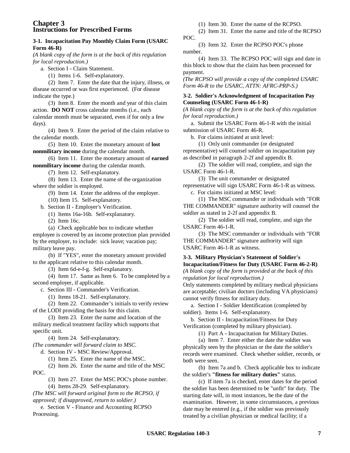# **Chapter 3 Instructions for Prescribed Forms**

#### **3-1. Incapacitation Pay Monthly Claim Form (USARC Form 46-R)**

*(A blank copy of the form is at the back of this regulation for local reproduction.)*

a. Section I **-** Claim Statement.

(1) Items 1**-**6. Self**-**explanatory.

(2) Item 7. Enter the date that the injury, illness, or disease occurred or was first experienced. (For disease indicate the type.)

(3) Item 8. Enter the month and year of this claim action. **DO NOT** cross calendar months (i.e., each calendar month must be separated, even if for only a few days).

(4) Item 9. Enter the period of the claim relative to the calendar month.

(5) Item 10. Enter the monetary amount of **lost nonmilitary income** during the calendar month.

(6) Item 11. Enter the monetary amount of **earned nonmilitary income** during the calendar month.

(7) Item 12. Self**-**explanatory.

(8) Item 13. Enter the name of the organization where the soldier is employed.

(9) Item 14. Enter the address of the employer.

(10) Item 15. Self**-**explanatory. b. Section II **-** Employer's Verification.

(1) Items 16a**-**16b. Self**-**explanatory.

(2) Item 16c.

(a) Check applicable box to indicate whether employee is covered by an income protection plan provided by the employer, to include: sick leave; vacation pay; military leave pay.

(b) If "YES", enter the monetary amount provided to the applicant relative to this calendar month.

(3) Item 6d**-**e**-**f**-**g. Self**-**explanatory.

(4) Item 17. Same as Item 6. To be completed by a second employer, if applicable.

c. Section III **-** Commander's Verification.

(1) Items 18**-**21. Self**-**explanatory.

(2) Item 22. Commander's initials to verify review of the LODI providing the basis for this claim.

(3) Item 23. Enter the name and location of the military medical treatment facility which supports that specific unit.

(4) Item 24. Self**-**explanatory.

*(The commander will forward claim to MSC.*

d. Section IV **-** MSC Review/Approval.

(1) Item 25. Enter the name of the MSC.

(2) Item 26. Enter the name and title of the MSC POC.

(3) Item 27. Enter the MSC POC's phone number. (4) Items 28**-**29. Self**-**explanatory.

*(The MSC will forward original form to the RCPSO, if approved; if disapproved, return to soldier.)*

e. Section V **-** Finance and Accounting RCPSO Processing.

(1) Item 30. Enter the name of the RCPSO.

(2) Item 31. Enter the name and title of the RCPSO POC.

(3) Item 32. Enter the RCPSO POC's phone number.

(4) Item 33. The RCPSO POC will sign and date in this block to show that the claim has been processed for payment.

*(The RCPSO will provide a copy of the completed USARC Form 46-R to the USARC, ATTN: AFRC-PRP-S.)*

# **3-2. Soldier's Acknowledgment of Incapacitation Pay Counseling (USARC Form 46-1-R)**

*(A blank copy of the form is at the back of this regulation for local reproduction.)*

a. Submit the USARC Form 46**-**1**-**R with the initial submission of USARC Form 46**-**R.

b. For claims initiated at unit level:

(1) Only unit commander (or designated representative) will counsel soldier on incapacitation pay as described in paragraph 2**-**2f and appendix B.

(2) The soldier will read, complete, and sign the USARC Form 46**-**1**-**R.

(3) The unit commander or designated representative will sign USARC Form 46**-**1**-**R as witness.

c. For claims initiated at MSC level:

(1) The MSC commander or individuals with "FOR THE COMMANDER" signature authority will counsel the soldier as stated in 2**-**2f and appendix B.

(2) The soldier will read, complete, and sign the USARC Form 46**-**1**-**R.

(3) The MSC commander or individuals with "FOR THE COMMANDER" signature authority will sign USARC Form 46**-**1**-**R as witness.

#### **3-3. Military Physician's Statement of Soldier's Incapacitation/Fitness for Duty (USARC Form 46-2-R)** *(A blank copy of the form is provided at the back of this*

*regulation for local reproduction.)*

Only statements completed by military medical physicians are acceptable; civilian doctors (including VA physicians) cannot verify fitness for military duty.

a. Section I **-** Soldier Identification (completed by soldier). Items 1**-**6. Self**-**explanatory.

b. Section II **-** Incapacitation/Fitness for Duty Verification (completed by military physician).

(1) Part A **-** Incapacitation for Military Duties.

(a) Item 7. Enter either the date the soldier was physically seen by the physician or the date the soldier's records were examined. Check whether soldier, records, or both were seen.

(b) Item 7a and b. Check applicable box to indicate the soldier's **"fitness for military duties"** status.

(c) If item 7a is checked, enter dates for the period the soldier has been determined to be "unfit" for duty. The starting date will, in most instances, be the date of the examination. However, in some circumstances, a previous date may be entered (e.g., if the soldier was previously treated by a civilian physician or medical facility; if a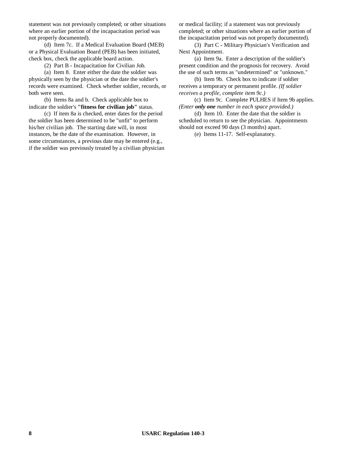statement was not previously completed; or other situations where an earlier portion of the incapacitation period was not properly documented).

(d) Item 7c. If a Medical Evaluation Board (MEB) or a Physical Evaluation Board (PEB) has been initiated, check box, check the applicable board action.

(2) Part B **-** Incapacitation for Civilian Job.

(a) Item 8. Enter either the date the soldier was physically seen by the physician or the date the soldier's records were examined. Check whether soldier, records, or both were seen.

(b) Items 8a and b. Check applicable box to indicate the soldier's **"fitness for civilian job"** status.

(c) If item 8a is checked, enter dates for the period the soldier has been determined to be "unfit" to perform his/her civilian job. The starting date will, in most instances, be the date of the examination. However, in some circumstances, a previous date may be entered (e.g., if the soldier was previously treated by a civilian physician or medical facility; if a statement was not previously completed; or other situations where an earlier portion of the incapacitation period was not properly documented).

(3) Part C **-** Military Physician's Verification and Next Appointment.

(a) Item 9a. Enter a description of the soldier's present condition and the prognosis for recovery. Avoid the use of such terms as "undetermined" or "unknown."

(b) Item 9b. Check box to indicate if soldier receives a temporary or permanent profile. *(If soldier receives a profile, complete item 9c.)*

(c) Item 9c. Complete PULHES if Item 9b applies. *(Enter only one number in each space provided.)*

(d) Item 10. Enter the date that the soldier is scheduled to return to see the physician. Appointments should not exceed 90 days (3 months) apart.

(e) Items 11**-**17. Self**-**explanatory.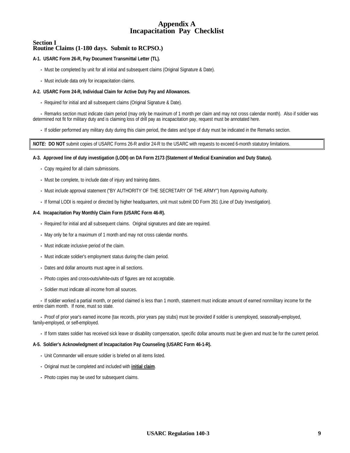# **Appendix A Incapacitation Pay Checklist**

#### **Section I Routine Claims (1-180 days. Submit to RCPSO.)**

#### **A-1. USARC Form 26-R, Pay Document Transmittal Letter (TL).**

- **-** Must be completed by unit for all initial and subsequent claims (Original Signature & Date).
- **-** Must include data only for incapacitation claims.

#### **A-2. USARC Form 24-R, Individual Claim for Active Duty Pay and Allowances.**

**-** Required for initial and all subsequent claims (Original Signature & Date).

**-** Remarks section must indicate claim period (may only be maximum of 1 month per claim and may not cross calendar month). Also if soldier was determined not fit for military duty and is claiming loss of drill pay as incapacitation pay, request must be annotated here.

**-** If soldier performed any military duty during this claim period, the dates and type of duty must be indicated in the Remarks section.

*NOTE:* **DO NOT** submit copies of USARC Forms 26-R and/or 24-R to the USARC with requests to exceed 6-month statutory limitations.

#### **A-3. Approved line of duty investigation (LODI) on DA Form 2173 (Statement of Medical Examination and Duty Status).**

- **-** Copy required for all claim submissions.
- **-** Must be complete, to include date of injury and training dates.
- **-** Must include approval statement ("BY AUTHORITY OF THE SECRETARY OF THE ARMY") from Approving Authority.
- **-** If formal LODI is required or directed by higher headquarters, unit must submit DD Form 261 (Line of Duty Investigation).

#### **A-4. Incapacitation Pay Monthly Claim Form (USARC Form 46-R).**

- **-** Required for initial and all subsequent claims. Original signatures and date are required.
- **-** May only be for a maximum of 1 month and may not cross calendar months.
- **-** Must indicate inclusive period of the claim.
- **-** Must indicate soldier's employment status during the claim period.
- **-** Dates and dollar amounts must agree in all sections.
- **-** Photo copies and cross**-**outs/white**-**outs of figures are not acceptable.
- **-** Soldier must indicate all income from all sources.

**-** If soldier worked a partial month, or period claimed is less than 1 month, statement must indicate amount of earned nonmilitary income for the entire claim month. If none, must so state.

**-** Proof of prior year's earned income (tax records, prior years pay stubs) must be provided if soldier is unemployed, seasonally**-**employed, family**-**employed, or self**-**employed.

**-** If form states soldier has received sick leave or disability compensation, specific dollar amounts must be given and must be for the current period.

#### **A-5. Soldier's Acknowledgment of Incapacitation Pay Counseling (USARC Form 46-1-R).**

- **-** Unit Commander will ensure soldier is briefed on all items listed.
- **-** Original must be completed and included with **initial claim**.
- **-** Photo copies may be used for subsequent claims.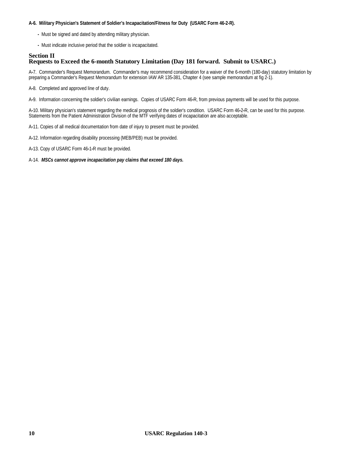#### **A-6. Military Physician's Statement of Soldier's Incapacitation/Fitness for Duty (USARC Form 46-2-R).**

- **-** Must be signed and dated by attending military physician.
- **-** Must indicate inclusive period that the soldier is incapacitated.

#### **Section II Requests to Exceed the 6-month Statutory Limitation (Day 181 forward. Submit to USARC.)**

A**-**7. Commander's Request Memorandum. Commander's may recommend consideration for a waiver of the 6-month (180-day) statutory limitation by preparing a Commander's Request Memorandum for extension IAW AR 135**-**381, Chapter 4 (see sample memorandum at fig 2-1).

A**-**8. Completed and approved line of duty.

A**-**9. Information concerning the soldier's civilian earnings. Copies of USARC Form 46**-**R, from previous payments will be used for this purpose.

A**-**10. Military physician's statement regarding the medical prognosis of the soldier's condition. USARC Form 46**-**2**-**R, can be used for this purpose. Statements from the Patient Administration Division of the MTF verifying dates of incapacitation are also acceptable.

A**-**11. Copies of all medical documentation from date of injury to present must be provided.

- A**-**12. Information regarding disability processing (MEB/PEB) must be provided.
- A**-**13. Copy of USARC Form 46**-**1**-**R must be provided.
- A-14. *MSCs cannot approve incapacitation pay claims that exceed 180 days.*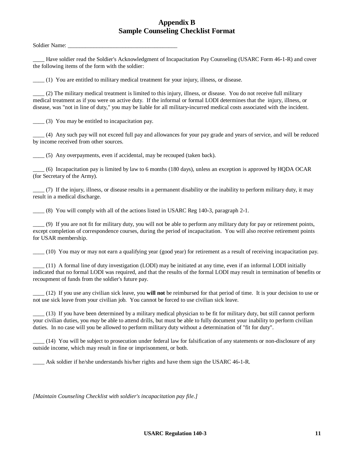# **Appendix B Sample Counseling Checklist Format**

Soldier Name:

\_\_\_\_ Have soldier read the Soldier's Acknowledgment of Incapacitation Pay Counseling (USARC Form 46**-**1**-**R) and cover the following items of the form with the soldier:

\_\_\_\_ (1) You are entitled to military medical treatment for your injury, illness, or disease.

\_\_\_\_ (2) The military medical treatment is limited to this injury, illness, or disease. You do not receive full military medical treatment as if you were on active duty. If the informal or formal LODI determines that the injury, illness, or disease, was "not in line of duty," you may be liable for all military**-**incurred medical costs associated with the incident.

\_\_\_\_ (3) You may be entitled to incapacitation pay.

\_\_\_\_ (4) Any such pay will not exceed full pay and allowances for your pay grade and years of service, and will be reduced by income received from other sources.

\_\_\_\_ (5) Any overpayments, even if accidental, may be recouped (taken back).

\_\_\_\_ (6) Incapacitation pay is limited by law to 6 months (180 days), unless an exception is approved by HQDA OCAR (for Secretary of the Army).

 $(7)$  If the injury, illness, or disease results in a permanent disability or the inability to perform military duty, it may result in a medical discharge.

\_\_\_\_ (8) You will comply with all of the actions listed in USARC Reg 140**-**3, paragraph 2**-**1.

\_\_\_\_ (9) If you are not fit for military duty, you will not be able to perform any military duty for pay or retirement points, except completion of correspondence courses, during the period of incapacitation. You will also receive retirement points for USAR membership.

\_\_\_\_ (10) You may or may not earn a qualifying year (good year) for retirement as a result of receiving incapacitation pay.

 $(11)$  A formal line of duty investigation (LODI) may be initiated at any time, even if an informal LODI initially indicated that no formal LODI was required, and that the results of the formal LODI may result in termination of benefits or recoupment of funds from the soldier's future pay.

\_\_\_\_ (12) If you use any civilian sick leave, you **will not** be reimbursed for that period of time. It is your decision to use or not use sick leave from your civilian job. You cannot be forced to use civilian sick leave.

\_\_\_\_ (13) If you have been determined by a military medical physician to be fit for military duty, but still cannot perform your civilian duties, you *may* be able to attend drills, but must be able to fully document your inability to perform civilian duties. In no case will you be allowed to perform military duty without a determination of "fit for duty".

\_\_\_\_ (14) You will be subject to prosecution under federal law for falsification of any statements or non**-**disclosure of any outside income, which may result in fine or imprisonment, or both.

\_\_\_\_ Ask soldier if he/she understands his/her rights and have them sign the USARC 46**-**1**-**R.

*[Maintain Counseling Checklist with soldier's incapacitation pay file.]*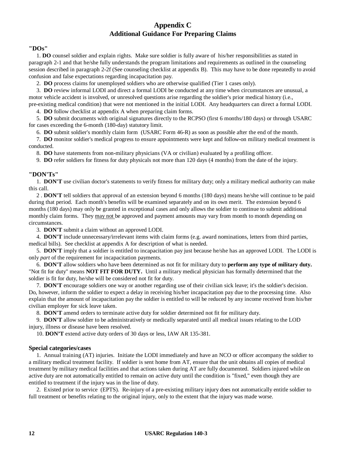# **Appendix C Additional Guidance For Preparing Claims**

#### **"DOs"**

1. **DO** counsel soldier and explain rights. Make sure soldier is fully aware of his/her responsibilities as stated in paragraph 2**-**1 and that he/she fully understands the program limitations and requirements as outlined in the counseling session described in paragraph 2**-**2f (See counseling checklist at appendix B). This may have to be done repeatedly to avoid confusion and false expectations regarding incapacitation pay.

2. **DO** process claims for unemployed soldiers who are otherwise qualified (Tier 1 cases only).

3. **DO** review informal LODI and direct a formal LODI be conducted at any time when circumstances are unusual, a motor vehicle accident is involved, or unresolved questions arise regarding the soldier's prior medical history (i.e., pre**-**existing medical condition) that were not mentioned in the initial LODI. Any headquarters can direct a formal LODI.

4. **DO** follow checklist at appendix A when preparing claim forms.

5. **DO** submit documents with original signatures directly to the RCPSO (first 6 months/180 days) or through USARC for cases exceeding the 6-month (180-day) statutory limit.

6. **DO** submit soldier's monthly claim form (USARC Form 46**-**R) as soon as possible after the end of the month.

7. **DO** monitor soldier's medical progress to ensure appointments were kept and follow**-**on military medical treatment is conducted.

8. **DO** have statements from non**-**military physicians (VA or civilian) evaluated by a profiling officer.

9. **DO** refer soldiers for fitness for duty physicals not more than 120 days (4 months) from the date of the injury.

#### **"DON'Ts"**

1. **DON'T** use civilian doctor's statements to verify fitness for military duty; only a military medical authority can make this call.

2 . **DON'T** tell soldiers that approval of an extension beyond 6 months (180 days) means he/she will continue to be paid during that period. Each month's benefits will be examined separately and on its own merit. The extension beyond 6 months (180 days) may only be granted in exceptional cases and only allows the soldier to continue to submit additional monthly claim forms. They may not be approved and payment amounts may vary from month to month depending on circumstances.

3. **DON'T** submit a claim without an approved LODI.

4. **DON'T** include unnecessary/irrelevant items with claim forms (e.g. award nominations, letters from third parties, medical bills). See checklist at appendix A for description of what is needed.

5. **DON'T** imply that a soldier is entitled to incapacitation pay just because he/she has an approved LODI. The LODI is only *part* of the requirement for incapacitation payments.

6. **DON'T** allow soldiers who have been determined as not fit for military duty to **perform any type of military duty.** "Not fit for duty" means **NOT FIT FOR DUTY.** Until a military medical physician has formally determined that the soldier is fit for duty, he/she will be considered not fit for duty.

7. **DON'T** encourage soldiers one way or another regarding use of their civilian sick leave; it's the soldier's decision. Do, however, inform the soldier to expect a delay in receiving his/her incapacitation pay due to the processing time. Also explain that the amount of incapacitation pay the soldier is entitled to will be reduced by any income received from his/her civilian employer for sick leave taken.

8. **DON'T** amend orders to terminate active duty for soldier determined not fit for military duty.

9. **DON'T** allow soldier to be administratively or medically separated until all medical issues relating to the LOD injury, illness or disease have been resolved.

10. **DON'T** extend active duty orders of 30 days or less, IAW AR 135-381.

#### **Special categories/cases**

1. Annual training (AT) injuries. Initiate the LODI immediately and have an NCO or officer accompany the soldier to a military medical treatment facility. If soldier is sent home from AT, ensure that the unit obtains all copies of medical treatment by military medical facilities and that actions taken during AT are fully documented. Soldiers injured while on active duty are not automatically entitled to remain on active duty until the condition is "fixed," even though they are entitled to treatment if the injury was in the line of duty.

2. Existed prior to service (EPTS). Re**-**injury of a pre**-**existing military injury does not automatically entitle soldier to full treatment or benefits relating to the original injury, only to the extent that the injury was made worse.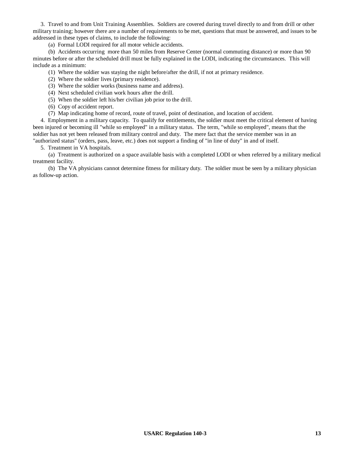3. Travel to and from Unit Training Assemblies. Soldiers are covered during travel directly to and from drill or other military training; however there are a number of requirements to be met, questions that must be answered, and issues to be addressed in these types of claims, to include the following:

(a) Formal LODI required for all motor vehicle accidents.

(b) Accidents occurring more than 50 miles from Reserve Center (normal commuting distance) or more than 90 minutes before or after the scheduled drill must be fully explained in the LODI, indicating the circumstances. This will include as a minimum:

(1) Where the soldier was staying the night before/after the drill, if not at primary residence.

- (2) Where the soldier lives (primary residence).
- (3) Where the soldier works (business name and address).
- (4) Next scheduled civilian work hours after the drill.
- (5) When the soldier left his/her civilian job prior to the drill.
- (6) Copy of accident report.
- (7) Map indicating home of record, route of travel, point of destination, and location of accident.

4. Employment in a military capacity. To qualify for entitlements, the soldier must meet the critical element of having been injured or becoming ill "while so employed" in a military status. The term, "while so employed", means that the soldier has not yet been released from military control and duty. The mere fact that the service member was in an "authorized status" (orders, pass, leave, etc.) does not support a finding of "in line of duty" in and of itself.

5. Treatment in VA hospitals.

(a) Treatment is authorized on a space available basis with a completed LODI or when referred by a military medical treatment facility.

(b) The VA physicians cannot determine fitness for military duty. The soldier must be seen by a military physician as follow-up action.